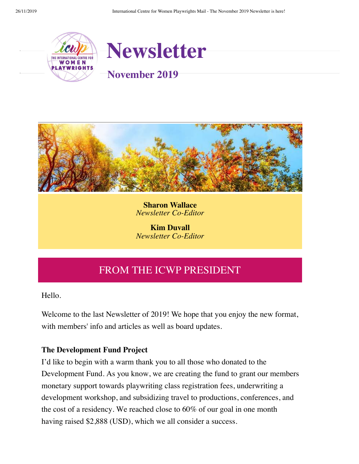



**Sharon Wallace** *Newsletter Co-Editor*

**Kim Duvall** *Newsletter Co-Editor*

# FROM THE ICWP PRESIDENT

Hello.

Welcome to the last Newsletter of 2019! We hope that you enjoy the new format, with members' info and articles as well as board updates.

### **The Development Fund Project**

I'd like to begin with a warm thank you to all those who donated to the Development Fund. As you know, we are creating the fund to grant our members monetary support towards playwriting class registration fees, underwriting a development workshop, and subsidizing travel to productions, conferences, and the cost of a residency. We reached close to 60% of our goal in one month having raised \$2,888 (USD), which we all consider a success.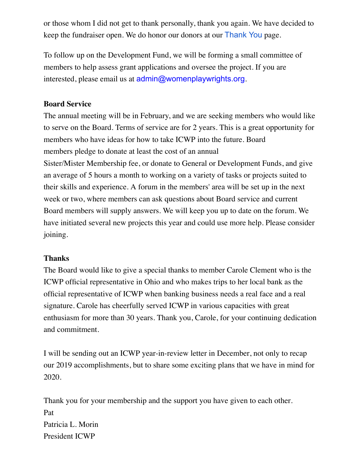or those whom I did not get to thank personally, thank you again. We have decided to keep the fundraiser open. We do honor our donors at our [Thank You](https://www.womenplaywrights.org/donor-thanks-donations) page.

To follow up on the Development Fund, we will be forming a small committee of members to help assess grant applications and oversee the project. If you are interested, please email us at [admin@womenplaywrights.org](mailto:admin@womenplaywrights.org).

### **Board Service**

The annual meeting will be in February, and we are seeking members who would like to serve on the Board. Terms of service are for 2 years. This is a great opportunity for members who have ideas for how to take ICWP into the future. Board members pledge to donate at least the cost of an annual Sister/Mister Membership fee, or donate to General or Development Funds, and give an average of 5 hours a month to working on a variety of tasks or projects suited to their skills and experience. A forum in the members' area will be set up in the next week or two, where members can ask questions about Board service and current Board members will supply answers. We will keep you up to date on the forum. We have initiated several new projects this year and could use more help. Please consider joining.

### **Thanks**

The Board would like to give a special thanks to member Carole Clement who is the ICWP official representative in Ohio and who makes trips to her local bank as the official representative of ICWP when banking business needs a real face and a real signature. Carole has cheerfully served ICWP in various capacities with great enthusiasm for more than 30 years. Thank you, Carole, for your continuing dedication and commitment.

I will be sending out an ICWP year-in-review letter in December, not only to recap our 2019 accomplishments, but to share some exciting plans that we have in mind for 2020.

Thank you for your membership and the support you have given to each other. Pat Patricia L. Morin President ICWP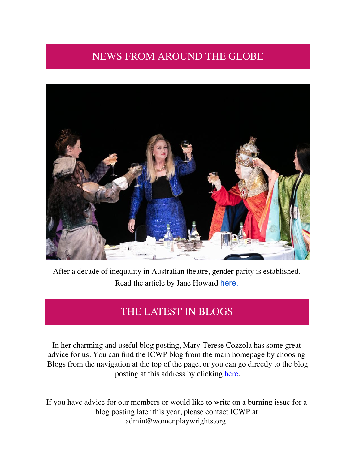# NEWS FROM AROUND THE GLOBE



After a decade of inequality in Australian theatre, gender parity is established. Read the article by Jane Howard [here.](https://www.womenplaywrights.org/EmailTracker/LinkTracker.ashx?linkAndRecipientCode=fxSqJDgUSP33bxLbpWvaMinA0xfO9zI5mvvXG9JKiXvq3gPpo7%2bWYWcyusOAt32NS5ZT9O1VBaiRWhZaCDLfAVkAT2khdvXkSSZu%2fHHDiYk%3d)

# THE LATEST IN BLOGS

In her charming and useful blog posting, Mary-Terese Cozzola has some great advice for us. You can find the ICWP blog from the main homepage by choosing Blogs from the navigation at the top of the page, or you can go directly to the blog posting at this address by clicking [here.](https://www.womenplaywrights.org/news/7830783) 

If you have advice for our members or would like to write on a burning issue for a blog posting later this year, please contact ICWP at [admin@womenplaywrights.org.](mailto:admin@womenplaywrights.org)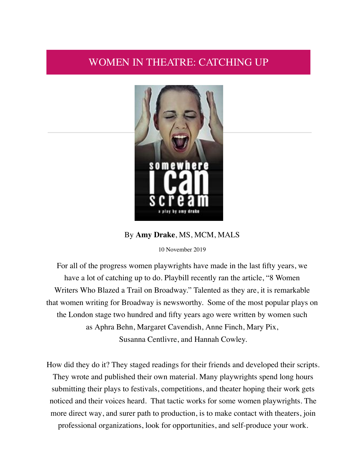### WOMEN IN THEATRE: CATCHING UP



### By **Amy Drake**, MS, MCM, MALS

10 November 2019

For all of the progress women playwrights have made in the last fifty years, we have a lot of catching up to do. Playbill recently ran the article, "8 Women Writers Who Blazed a Trail on Broadway." Talented as they are, it is remarkable that women writing for Broadway is newsworthy. Some of the most popular plays on the London stage two hundred and fifty years ago were written by women such as Aphra Behn, Margaret Cavendish, Anne Finch, Mary Pix, Susanna Centlivre, and Hannah Cowley.

How did they do it? They staged readings for their friends and developed their scripts. They wrote and published their own material. Many playwrights spend long hours submitting their plays to festivals, competitions, and theater hoping their work gets noticed and their voices heard. That tactic works for some women playwrights. The more direct way, and surer path to production, is to make contact with theaters, join professional organizations, look for opportunities, and self-produce your work.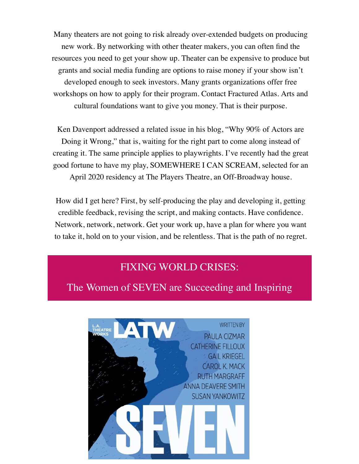Many theaters are not going to risk already over-extended budgets on producing new work. By networking with other theater makers, you can often find the resources you need to get your show up. Theater can be expensive to produce but grants and social media funding are options to raise money if your show isn't developed enough to seek investors. Many grants organizations offer free workshops on how to apply for their program. Contact Fractured Atlas. Arts and cultural foundations want to give you money. That is their purpose.

Ken Davenport addressed a related issue in his blog, "Why 90% of Actors are Doing it Wrong," that is, waiting for the right part to come along instead of creating it. The same principle applies to playwrights. I've recently had the great good fortune to have my play, SOMEWHERE I CAN SCREAM, selected for an April 2020 residency at The Players Theatre, an Off-Broadway house.

How did I get here? First, by self-producing the play and developing it, getting credible feedback, revising the script, and making contacts. Have confidence. Network, network, network. Get your work up, have a plan for where you want to take it, hold on to your vision, and be relentless. That is the path of no regret.

## FIXING WORLD CRISES:

The Women of SEVEN are Succeeding and Inspiring

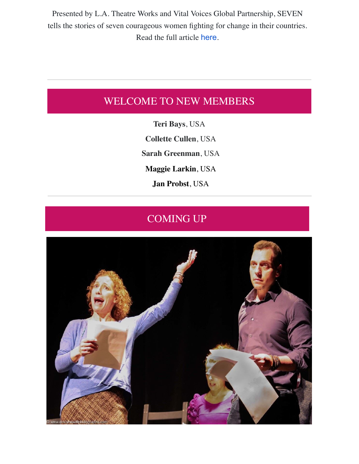Presented by L.A. Theatre Works and Vital Voices Global Partnership, SEVEN tells the stories of seven courageous women fighting for change in their countries. Read the full article [here](https://www.womenplaywrights.org/EmailTracker/LinkTracker.ashx?linkAndRecipientCode=%2bYPjhsQjHJ13YGEv5DEcdXpCgdLZsbkQo%2fnv0gbofBlapgj%2f%2bbdNUwFX15MnHf2hprnSJ4L2Bka%2fniKhDkDrt6KzSucybiFp%2f4nNpHhSDio%3d).

## WELCOME TO NEW MEMBERS

**Teri Bays**, USA **Collette Cullen**, USA **Sarah Greenman**, USA **Maggie Larkin**, USA **Jan Probst**, USA

# COMING UP

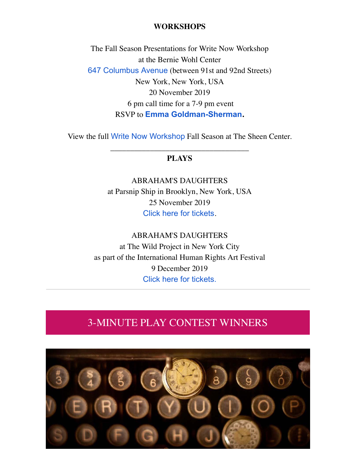#### **WORKSHOPS**

The Fall Season Presentations for Write Now Workshop at the Bernie Wohl Center [647 Columbus Avenue](https://www.google.com/maps/search/647+Columbus+Avenue?entry=gmail&source=g) (between 91st and 92nd Streets) New York, New York, USA 20 November 2019 6 pm call time for a 7-9 pm event RSVP to **[Emma Goldman-Sherman](mailto:emmagoldmansherman@gmail.com).**

View the full [Write Now Workshop](https://www.womenplaywrights.org/EmailTracker/LinkTracker.ashx?linkAndRecipientCode=xUoo3ZyL3JC%2fFkdELbA23stqxK6GAxDAHAdgdXWC24JB%2b5OQBYRvMMtX%2bQfLJKuGjnmD71NYhStANA5wVF9ZDS8koZsCtGJ0msI%2bk%2b5zISQ%3d) Fall Season at The Sheen Center. \_\_\_\_\_\_\_\_\_\_\_\_\_\_\_\_\_\_\_\_\_\_\_\_\_\_\_\_\_\_\_\_\_\_\_

### **PLAYS**

ABRAHAM'S DAUGHTERS at Parsnip Ship in Brooklyn, New York, USA 25 November 2019 [Click here for tickets](https://www.womenplaywrights.org/EmailTracker/LinkTracker.ashx?linkAndRecipientCode=VOA%2fQw%2bJEXKNzFDFpy8MYhBF7MQCsm9BaPQV9%2fk4e8R6VG%2fa3BF6jE3Lh%2blYdmXSQ0BLB5RynvHmE0YZEjFyB0QoHu6IOttHp4mKO6WdMdI%3d).

ABRAHAM'S DAUGHTERS at The Wild Project in New York City as part of the International Human Rights Art Festival 9 December 2019 [Click here for tickets.](https://www.womenplaywrights.org/EmailTracker/LinkTracker.ashx?linkAndRecipientCode=97zAjfphPmK%2fBcClYIi98%2fWW6c8tgaLjANNtXIIWP1al8FJ1PrK6YhWZcccLH%2by8m2IPs6c3xYHl52SpHsa5k4N8kKXww5amlZn0JBDylU8%3d)

## 3-MINUTE PLAY CONTEST WINNERS

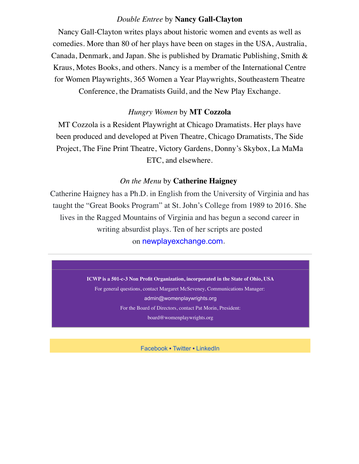#### *Double Entree* by **Nancy Gall-Clayton**

Nancy Gall-Clayton writes plays about historic women and events as well as comedies. More than 80 of her plays have been on stages in the USA, Australia, Canada, Denmark, and Japan. She is published by Dramatic Publishing, Smith & Kraus, Motes Books, and others. Nancy is a member of the International Centre for Women Playwrights, 365 Women a Year Playwrights, Southeastern Theatre Conference, the Dramatists Guild, and the New Play Exchange.

#### *Hungry Women* by **MT Cozzola**

MT Cozzola is a Resident Playwright at Chicago Dramatists. Her plays have been produced and developed at Piven Theatre, Chicago Dramatists, The Side Project, The Fine Print Theatre, Victory Gardens, Donny's Skybox, La MaMa ETC, and elsewhere.

#### *On the Menu* by **Catherine Haigney**

Catherine Haigney has a Ph.D. in English from the University of Virginia and has taught the "Great Books Program" at St. John's College from 1989 to 2016. She lives in the Ragged Mountains of Virginia and has begun a second career in writing absurdist plays. Ten of her scripts are posted on [newplayexchange.com](https://www.womenplaywrights.org/EmailTracker/LinkTracker.ashx?linkAndRecipientCode=eZQkZnL2HEU0891HnVL%2fpkGu4QC72%2f%2fmHGVtMjGleXzb%2feltO8mUmorhjOzkOtQvqaSEU1%2bf7hzG5vm%2fYZ3k9Uz88%2bCK95gQwXv1xmslXSI%3d).

> **ICWP is a 501-c-3 Non Profit Organization, incorporated in the State of Ohio, USA** For general questions, contact Margaret McSeveney, Communications Manager: admin@womenplaywrights.org For the Board of Directors, contact Pat Morin, President: board@womenplaywrights.org

> > Facebook • Twitter • LinkedIn